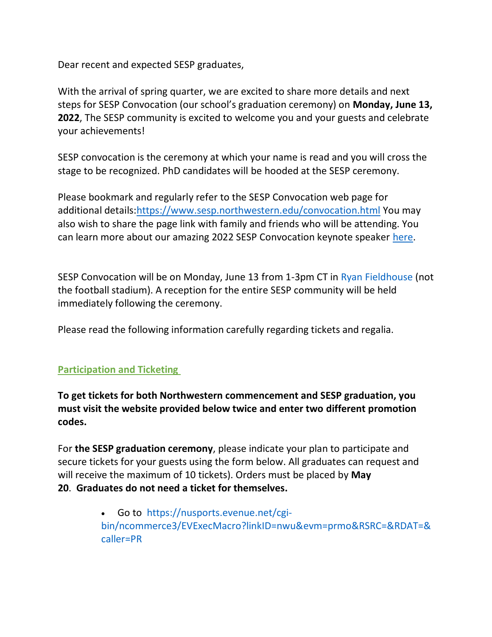Dear recent and expected SESP graduates,

With the arrival of spring quarter, we are excited to share more details and next steps for SESP Convocation (our school's graduation ceremony) on **Monday, June 13, 2022**, The SESP community is excited to welcome you and your guests and celebrate your achievements!

SESP convocation is the ceremony at which your name is read and you will cross the stage to be recognized. PhD candidates will be hooded at the SESP ceremony.

Please bookmark and regularly refer to the SESP Convocation web page for additional details: https://www.sesp.northwestern.edu/convocation.html You may also wish to share the page link with family and friends who will be attending. You can learn more about our amazing 2022 SESP Convocation keynote speaker [here.](https://www.sesp.northwestern.edu/news-center/news/2022/03/convocation-features-spencer-president-nailah-suad-nasir.html)

SESP Convocation will be on Monday, June 13 from 1-3pm CT in [Ryan Fieldhouse](https://nusports.com/facilities/ryan-fieldhouse/18) (not the football stadium). A reception for the entire SESP community will be held immediately following the ceremony.

Please read the following information carefully regarding tickets and regalia.

## **Participation and Ticketing**

**To get tickets for both Northwestern commencement and SESP graduation, you must visit the website provided below twice and enter two different promotion codes.**

For **the SESP graduation ceremony**, please indicate your plan to participate and secure tickets for your guests using the form below. All graduates can request and will receive the maximum of 10 tickets). Orders must be placed by **May 20**. **Graduates do not need a ticket for themselves.**

> • Go to  [https://nusports.evenue.net/cgi](https://nusports.evenue.net/cgi-bin/ncommerce3/EVExecMacro?linkID=nwu&evm=prmo&RSRC=&RDAT=&caller=PR)[bin/ncommerce3/EVExecMacro?linkID=nwu&evm=prmo&RSRC=&RDAT=&](https://nusports.evenue.net/cgi-bin/ncommerce3/EVExecMacro?linkID=nwu&evm=prmo&RSRC=&RDAT=&caller=PR) [caller=PR](https://nusports.evenue.net/cgi-bin/ncommerce3/EVExecMacro?linkID=nwu&evm=prmo&RSRC=&RDAT=&caller=PR)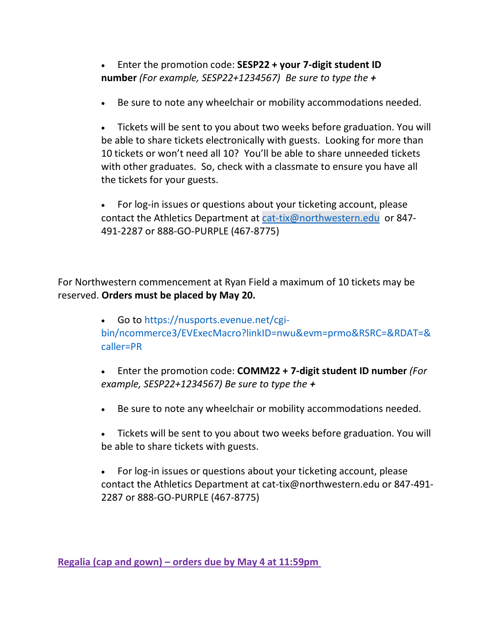• Enter the promotion code: **SESP22 + your 7-digit student ID number** *(For example, SESP22+1234567) Be sure to type the +*

• Be sure to note any wheelchair or mobility accommodations needed.

• Tickets will be sent to you about two weeks before graduation. You will be able to share tickets electronically with guests. Looking for more than 10 tickets or won't need all 10? You'll be able to share unneeded tickets with other graduates. So, check with a classmate to ensure you have all the tickets for your guests.

• For log-in issues or questions about your ticketing account, please contact the Athletics Department at [cat-tix@northwestern.edu](mailto:cat-tix@northwestern.edu)  or 847- 491-2287 or 888-GO-PURPLE (467-8775)

For Northwestern commencement at Ryan Field a maximum of 10 tickets may be reserved. **Orders must be placed by May 20.**

> • Go to [https://nusports.evenue.net/cgi](https://nusports.evenue.net/cgi-bin/ncommerce3/EVExecMacro?linkID=nwu&evm=prmo&RSRC=&RDAT=&caller=PR)[bin/ncommerce3/EVExecMacro?linkID=nwu&evm=prmo&RSRC=&RDAT=&](https://nusports.evenue.net/cgi-bin/ncommerce3/EVExecMacro?linkID=nwu&evm=prmo&RSRC=&RDAT=&caller=PR) [caller=PR](https://nusports.evenue.net/cgi-bin/ncommerce3/EVExecMacro?linkID=nwu&evm=prmo&RSRC=&RDAT=&caller=PR)

• Enter the promotion code: **COMM22 + 7-digit student ID number** *(For example, SESP22+1234567) Be sure to type the +*

- Be sure to note any wheelchair or mobility accommodations needed.
- Tickets will be sent to you about two weeks before graduation. You will be able to share tickets with guests.

• For log-in issues or questions about your ticketing account, please contact the Athletics Department at [cat-tix@northwestern.edu](mailto:cat-tix@northwestern.edu) or 847-491- 2287 or 888-GO-PURPLE (467-8775)

**Regalia (cap and gown) – orders due by May 4 at 11:59pm**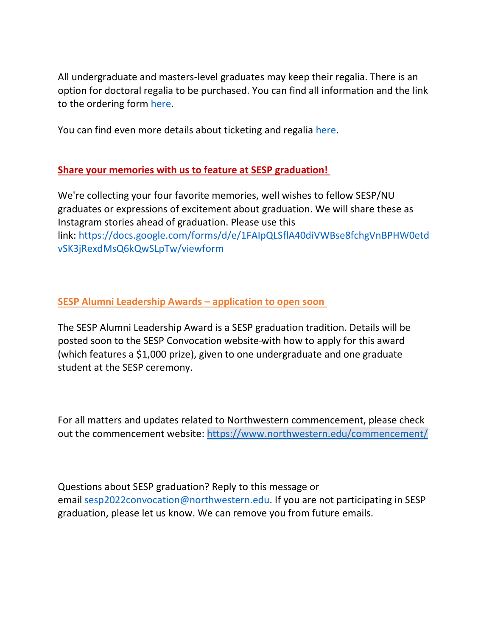All undergraduate and masters-level graduates may keep their regalia. There is an option for doctoral regalia to be purchased. You can find all information and the link to the ordering form [here.](https://www.northwestern.edu/commencement/students/regalia.html)

You can find even more details about ticketing and regalia [here.](https://www.northwestern.edu/commencement/students/2022-student-emails.html)

## **Share your memories with us to feature at SESP graduation!**

We're collecting your four favorite memories, well wishes to fellow SESP/NU graduates or expressions of excitement about graduation. We will share these as Instagram stories ahead of graduation. Please use this link: [https://docs.google.com/forms/d/e/1FAIpQLSflA40diVWBse8fchgVnBPHW0etd](https://docs.google.com/forms/d/e/1FAIpQLSflA40diVWBse8fchgVnBPHW0etdvSK3jRexdMsQ6kQwSLpTw/viewform) [vSK3jRexdMsQ6kQwSLpTw/viewform](https://docs.google.com/forms/d/e/1FAIpQLSflA40diVWBse8fchgVnBPHW0etdvSK3jRexdMsQ6kQwSLpTw/viewform) 

## **SESP Alumni Leadership Awards – application to open soon**

The SESP Alumni Leadership Award is a SESP graduation tradition. Details will be posted soon to the SESP Convocation website with how to apply for this award (which features a \$1,000 prize), given to one undergraduate and one graduate student at the SESP ceremony.

For all matters and updates related to Northwestern commencement, please check out the commencement website: <https://www.northwestern.edu/commencement/>

Questions about SESP graduation? Reply to this message or email [sesp2022convocation@northwestern.edu.](mailto:sesp2022convocation@northwestern.edu) If you are not participating in SESP graduation, please let us know. We can remove you from future emails.